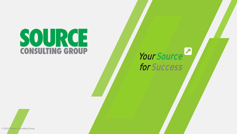# SOURCE **CONSULTING GROUP**

## Your Source for Success

© 2018 Source Consulting Group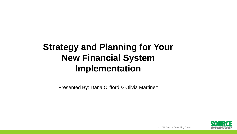## **Strategy and Planning for Your New Financial System Implementation**

Presented By: Dana Clifford & Olivia Martinez

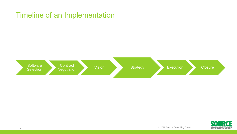## Timeline of an Implementation



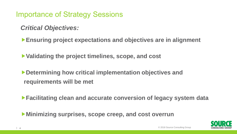Importance of Strategy Sessions

*Critical Objectives:*

**Ensuring project expectations and objectives are in alignment**

**Validating the project timelines, scope, and cost**

**Determining how critical implementation objectives and requirements will be met**

**Facilitating clean and accurate conversion of legacy system data**

**Minimizing surprises, scope creep, and cost overrun**

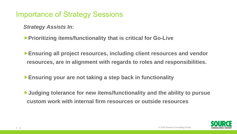Importance of Strategy Sessions

*Strategy Assists In:*

**Prioritizing items/functionality that is critical for Go-Live**

**Ensuring all project resources, including client resources and vendor resources, are in alignment with regards to roles and responsibilities.**

**Ensuring your are not taking a step back in functionality**

**Judging tolerance for new items/functionality and the ability to pursue custom work with internal firm resources or outside resources** 

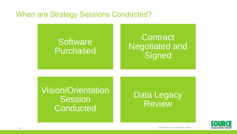#### When are Strategy Sessions Conducted?

## **Software** Purchased

## **Contract** Negotiated and **Signed**

Vision/Orientation **Session Conducted** 

## Data Legacy Review

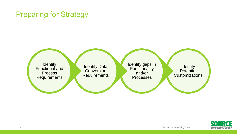#### Preparing for Strategy

Identify gaps in **Functionality** and/or **Processes Identify Data Conversion Requirements Identify** Functional and **Process** Requirements

**Identify Potential Customizations** 

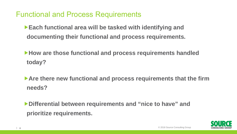Functional and Process Requirements

**Each functional area will be tasked with identifying and documenting their functional and process requirements.**

**How are those functional and process requirements handled today?**

▶ Are there new functional and process requirements that the firm **needs?**

**Differential between requirements and "nice to have" and prioritize requirements.** 

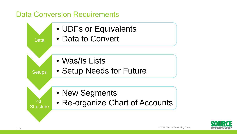### Data Conversion Requirements



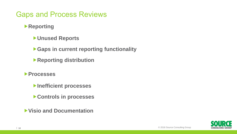### Gaps and Process Reviews

**Reporting**

- **Unused Reports**
- **Gaps in current reporting functionality**
- **Reporting distribution**
- **Processes**
	- **Inefficient processes**
	- **Controls in processes**
- **Visio and Documentation**

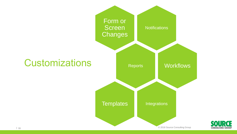



| © 2018 Source Consulting Group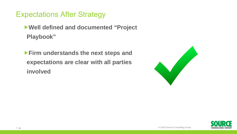Expectations After Strategy

**Well defined and documented "Project Playbook"**

**Firm understands the next steps and expectations are clear with all parties involved**



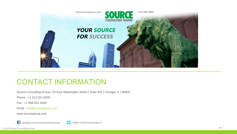

#### CONTACT INFORMATION

Source Consulting Group | 25 East Washington Street | Suite 502 | Chicago, IL | 60602

Phone : +1 312.551.9200

Fax : +1 866.551.9180

Email : info@sourcegroup.com

www.sourcegroup.com



facebook.com/YourSourceForSuccess state twitter.com/SourceGroupLLC